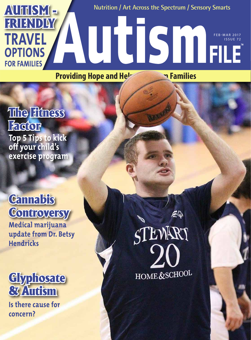

**Providing Hope and Help** *Families* 

### The Fitness Factor **Top 5 Tips to kick off your child's exercise program**

## **Cannabis** Controversy

**Medical marijuana update from Dr. Betsy Hendricks**



**Is there cause for concern?**

STEWART HOME&SCHOOL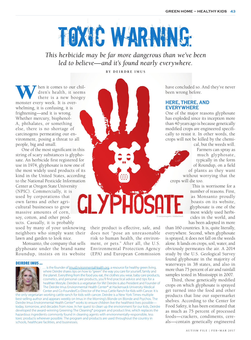# Toxic Warning:

*This herbicide may be far more dangerous than we've been led to believe—and it's found nearly everywhere.*

**B y De irdr e Im u s**

When it comes to our chil-<br>dren's health, it seems<br>there is a new boogey<br>monster every week. It is overdren's health, it seems there is a new boogey whelming, it is confusing, it is frightening—and it is wrong. Whether mercury, bisphenol-A, phthalates, or something else, there is no shortage of carcinogens permeating our environment, posing a threat to all people, big and small.

One of the most significant in this string of scary substances is glyphosate. An herbicide first registered for use in 1974, glyphosate is now one of the most widely used products of its kind in the United States, according to the National Pesticide Information Center at Oregon State University (NPIC). Commercially, it is used by corporations that CI YP own farms and other agricultural businesses to grow massive amounts of corn, soy, cotton, and other products. Casually, it is probably used by many of your unknowing neighbors who simply want their lawn and garden to look nice.

 Monsanto, the company that sells glyphosate under the brand name Roundup, insists on its website

their product is effective, safe, and does not "pose an unreasonable risk to human health, the environment, or pets." After all, the U.S. Environmental Protection Agency (EPA) and European Commission

Deirdre Imus ...



is the founder of [ImusEnvironmentalHealth.org,](http://www.ImusEnvironmentalHealth.org) a resource for healthy green living, where Deirdre shares tips on how to "green" the way you care for yourself, family and the planet. Everything from the food you eat, the clothes you wear, baby care products, cosmetics, and personal care products, you'll find practical advice and tips for a healthier lifestyle. Deirdre is a vegetarian for life! Deirdre is also President and Founder of The Deirdre Imus Environmental Health Center® at Hackensack University Medical Center and Co-Founder/Co-Director of the Imus Cattle Ranch for Kids with Cancer. It is

the only vegetarian working cattle ranch for kids with cancer. Deirdre is a New York Times multiple best-selling author and appears weekly on Imus in the Morning's Blonde on Blonde and Psychos. The Deirdre Imus Environmental Health Center® works to ensure children live the healthiest lives possibletoday, tomorrow, and decades from now. In her quest to clean up the environment for our kids, Deirdre developed the award-winning Greening The Cleaning® program and product line, which replaces the hazardous ingredients commonly found in cleaning agents with environmentally-responsible, less toxic products wherever possible. The program and products are used throughout the country in schools, healthcare facilities, and businesses.

have concluded so. And they've never been wrong before.

#### **Here, there, and everywhere**

One of the major reasons glyphosate has exploded since its inception more than 40 years ago is because genetically modified crops are engineered specifically to resist it. In other words, the crops will not be killed by the chemi-

cal, but the weeds will. Farmers can spray as much glyphosate, typically in the form of Roundup, on a field of plants as they want without worrying that the crops will die too.

> This is worrisome for a number of reasons. First, as Monsanto proudly boasts on its website, glyphosate is one of the most widely used herbicides in the world, and has been adopted in more

than 160 countries. It is, quite literally, everywhere. Second, when glyphosate is sprayed, it does not fall on the weeds alone. It lands on crops, soil, water, and obviously permeates the air. A 2014 study by the U.S. Geological Survey found glyphosate in the majority of waterways in 38 states, and also in more than 75 percent of air and rainfall samples tested in Mississippi in 2007.

© kotoyamagami / AdobeStock

Third, those genetically modified crops on which glyphosate is sprayed get turned into the food and other products that line our supermarket shelves. According to the Center for Food Safety, it has been estimated that as much as 75 percent of processed foods—crackers, condiments, cereals—contain genetically engineered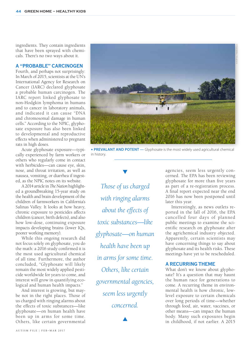ingredients. They contain ingredients that have been sprayed with chemicals. There's no two ways about it.

#### **A "probable" carcinogen**

Fourth, and perhaps not surprisingly: In March of 2015, scientists at the UN's International Agency for Research on Cancer (IARC) declared glyphosate a probable human carcinogen. The IARC report linked glyphosate to non-Hodgkin lymphoma in humans and to cancer in laboratory animals, and indicated it can cause "DNA and chromosomal damage in human cells." According to the NPIC, glyphosate exposure has also been linked to developmental and reproductive effects when administered to pregnant rats in high doses.

Acute glyphosate exposure—typically experienced by farm workers or others who regularly come in contact with herbicides—can cause eye, skin, nose, and throat irritation, as well as nausea, vomiting, or diarrhea if ingested, as the NPIC notes on its website.

A 2014 article in *The Nation* highlighted a groundbreaking 15-year study on the health and brain development of the children of farmworkers in California's Salinas Valley. It looks at how heavy, chronic exposure to pesticides affects children (cancer, birth defects), and also how low-dose, continuing exposure impacts developing brains (lower IQs, poorer working memory).

While this ongoing research did not focus solely on glyphosate, you do the math: a 2016 study confirmed it is the most used agricultural chemical of all time. Furthermore, the author concluded, "Glyphosate will likely remain the most widely applied pesticide worldwide for years to come, and interest will grow in quantifying ecological and human health impacts."

And interest is growing, but maybe not in the right places. Those of us charged with ringing alarms about the effects of toxic substances—like glyphosate—on human health have been up in arms for some time. Others, like certain governmental



**PREVALANT AND POTENT** — Glyphosate is the most widely used agricultural chemical in history.

*Those of us charged with ringing alarms about the effects of toxic substances—like glyphosate—on human health have been up in arms for some time. Others, like certain governmental agencies, seem less urgently concerned.*

 $\blacktriangle$ 

agencies, seem less urgently concerned. The EPA has been reviewing glyphosate for more than five years as part of a re-registration process. A final report expected near the end 2016 has now been postponed until later this year.

Interestingly, as news outlets reported in the fall of 2016, the EPA cancelled four days of planned public meetings to examine the scientific research on glyphosate after the agrichemical industry objected. Apparently, certain scientists may have concerning things to say about glyphosate and its health risks. These meetings have yet to be rescheduled.

#### **A recurring theme**

What don't we know about glyphosate? It's a question that may haunt the human race for generations to come. A recurring theme in environmental health is how chronic, lowlevel exposure to certain chemicals over long periods of time—whether through food, air, water, vaccines, or other means—can impact the human body. Many such exposures begin in childhood, if not earlier. A 2015

© ASP Inc / AdobeStock